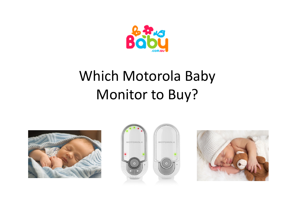

# Which Motorola BabyMonitor to Buy?





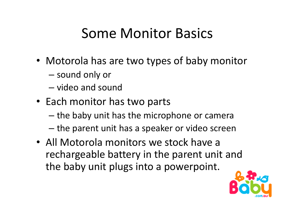## Some Monitor Basics

- Motorola has are two types of baby monitor
	- – $-$  sound only or
	- – $-$  video and sound
- Each monitor has two parts
	- – $-$  the baby unit has the microphone or camera
	- – $-$  the parent unit has a speaker or video screen
- All Motorola monitors we stock have a rechargeable battery in the parent unit and the baby unit plugs into a powerpoint.

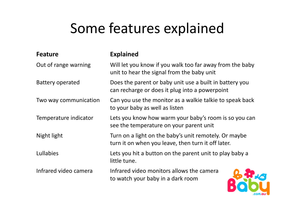## Some features explained

| <b>Feature</b>        | <b>Explained</b>                                                                                            |  |  |
|-----------------------|-------------------------------------------------------------------------------------------------------------|--|--|
| Out of range warning  | Will let you know if you walk too far away from the baby<br>unit to hear the signal from the baby unit      |  |  |
| Battery operated      | Does the parent or baby unit use a built in battery you<br>can recharge or does it plug into a powerpoint   |  |  |
| Two way communication | Can you use the monitor as a walkie talkie to speak back<br>to your baby as well as listen                  |  |  |
| Temperature indicator | Lets you know how warm your baby's room is so you can<br>see the temperature on your parent unit            |  |  |
| Night light           | Turn on a light on the baby's unit remotely. Or maybe<br>turn it on when you leave, then turn it off later. |  |  |
| Lullabies             | Lets you hit a button on the parent unit to play baby a<br>little tune.                                     |  |  |
| Infrared video camera | Infrared video monitors allows the camera<br>to watch your baby in a dark room                              |  |  |

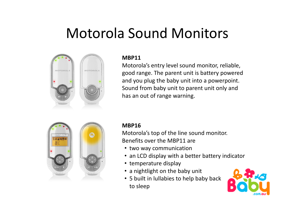### Motorola Sound Monitors



#### **MBP11**

 Motorola's entry level sound monitor, reliable, good range. The parent unit is battery powered and you plug the baby unit into a powerpoint. Sound from baby unit to parent unit only and has an out of range warning.



#### **MBP16**

 Motorola's top of the line sound monitor. Benefits over the MBP11 are

- two way communication
- an LCD display with a better battery indicator
- temperature display
- a nightlight on the baby unit
- 5 built in lullabies to help baby backto sleep

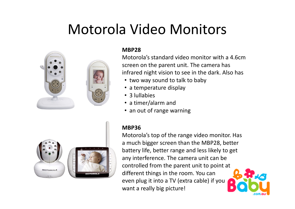### Motorola Video Monitors



#### **MBP28**

 Motorola's standard video monitor with a 4.6cmscreen on the parent unit. The camera has infrared night vision to see in the dark. Also has

- two way sound to talk to baby
- a temperature display
- •3 lullabies
- a timer/alarm and
- an out of range warning

#### **MBP36**



 Motorola's top of the range video monitor. Has a much bigger screen than the MBP28, better battery life, better range and less likely to get any interference. The camera unit can be controlled from the parent unit to point at different things in the room. You can even plug it into a TV (extra cable) if youwant a really big picture!